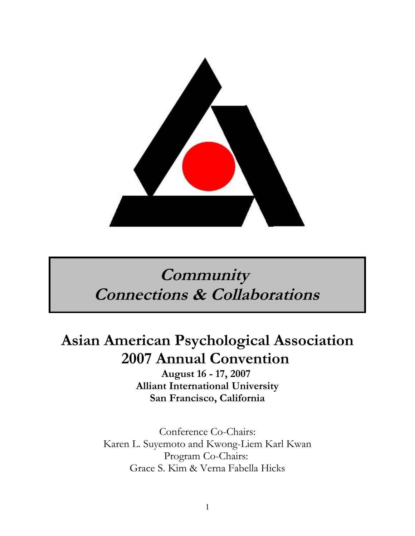

# **Community Connections & Collaborations**

# **Asian American Psychological Association 2007 Annual Convention**

**August 16 - 17, 2007 Alliant International University San Francisco, California**

Conference Co-Chairs: Karen L. Suyemoto and Kwong-Liem Karl Kwan Program Co-Chairs: Grace S. Kim & Verna Fabella Hicks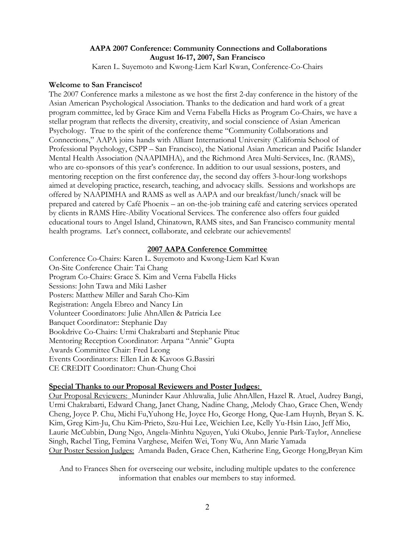### **AAPA 2007 Conference: Community Connections and Collaborations August 16-17, 2007, San Francisco**

Karen L. Suyemoto and Kwong-Liem Karl Kwan, Conference-Co-Chairs

### **Welcome to San Francisco!**

The 2007 Conference marks a milestone as we host the first 2-day conference in the history of the Asian American Psychological Association. Thanks to the dedication and hard work of a great program committee, led by Grace Kim and Verna Fabella Hicks as Program Co-Chairs, we have a stellar program that reflects the diversity, creativity, and social conscience of Asian American Psychology. True to the spirit of the conference theme "Community Collaborations and Connections," AAPA joins hands with Alliant International University (California School of Professional Psychology, CSPP – San Francisco), the National Asian American and Pacific Islander Mental Health Association (NAAPIMHA), and the Richmond Area Multi-Services, Inc. (RAMS), who are co-sponsors of this year's conference. In addition to our usual sessions, posters, and mentoring reception on the first conference day, the second day offers 3-hour-long workshops aimed at developing practice, research, teaching, and advocacy skills. Sessions and workshops are offered by NAAPIMHA and RAMS as well as AAPA and our breakfast/lunch/snack will be prepared and catered by Café Phoenix – an on-the-job training café and catering services operated by clients in RAMS Hire-Ability Vocational Services. The conference also offers four guided educational tours to Angel Island, Chinatown, RAMS sites, and San Francisco community mental health programs. Let's connect, collaborate, and celebrate our achievements!

### **2007 AAPA Conference Committee**

Conference Co-Chairs: Karen L. Suyemoto and Kwong-Liem Karl Kwan On-Site Conference Chair: Tai Chang Program Co-Chairs: Grace S. Kim and Verna Fabella Hicks Sessions: John Tawa and Miki Lasher Posters: Matthew Miller and Sarah Cho-Kim Registration: Angela Ebreo and Nancy Lin Volunteer Coordinators: Julie AhnAllen & Patricia Lee Banquet Coordinator:: Stephanie Day Bookdrive Co-Chairs: Urmi Chakrabarti and Stephanie Pituc Mentoring Reception Coordinator: Arpana "Annie" Gupta Awards Committee Chair: Fred Leong Events Coordinator:s: Ellen Lin & Kavoos G.Bassiri CE CREDIT Coordinator:: Chun-Chung Choi

### **Special Thanks to our Proposal Reviewers and Poster Judges:**

 Our Proposal Reviewers: Muninder Kaur Ahluwalia, Julie AhnAllen, Hazel R. Atuel, Audrey Bangi, Urmi Chakrabarti, Edward Chang, Janet Chang, Nadine Chang, ,Melody Chao, Grace Chen, Wendy Cheng, Joyce P. Chu, Michi Fu,Yuhong He, Joyce Ho, George Hong, Que-Lam Huynh, Bryan S. K. Kim, Greg Kim-Ju, Chu Kim-Prieto, Szu-Hui Lee, Weichien Lee, Kelly Yu-Hsin Liao, Jeff Mio, Laurie McCubbin, Dung Ngo, Angela-Minhtu Nguyen, Yuki Okubo, Jennie Park-Taylor, Anneliese Singh, Rachel Ting, Femina Varghese, Meifen Wei, Tony Wu, Ann Marie Yamada Our Poster Session Judges: Amanda Baden, Grace Chen, Katherine Eng, George Hong,Bryan Kim

And to Frances Shen for overseeing our website, including multiple updates to the conference information that enables our members to stay informed.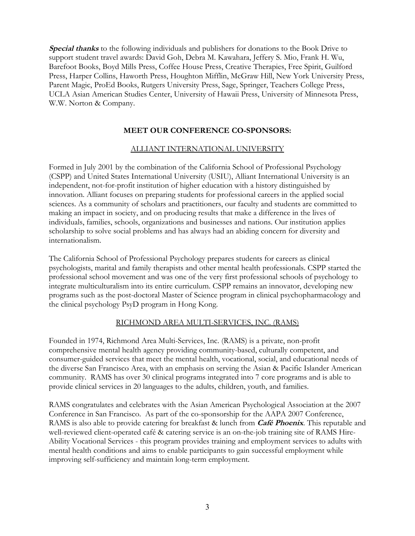**Special thanks** to the following individuals and publishers for donations to the Book Drive to support student travel awards: David Goh, Debra M. Kawahara, Jeffery S. Mio, Frank H. Wu, Barefoot Books, Boyd Mills Press, Coffee House Press, Creative Therapies, Free Spirit, Guilford Press, Harper Collins, Haworth Press, Houghton Mifflin, McGraw Hill, New York University Press, Parent Magic, ProEd Books, Rutgers University Press, Sage, Springer, Teachers College Press, UCLA Asian American Studies Center, University of Hawaii Press, University of Minnesota Press, W.W. Norton & Company.

### **MEET OUR CONFERENCE CO-SPONSORS:**

### ALLIANT INTERNATIONAL UNIVERSITY

Formed in July 2001 by the combination of the California School of Professional Psychology (CSPP) and United States International University (USIU), Alliant International University is an independent, not-for-profit institution of higher education with a history distinguished by innovation. Alliant focuses on preparing students for professional careers in the applied social sciences. As a community of scholars and practitioners, our faculty and students are committed to making an impact in society, and on producing results that make a difference in the lives of individuals, families, schools, organizations and businesses and nations. Our institution applies scholarship to solve social problems and has always had an abiding concern for diversity and internationalism.

The California School of Professional Psychology prepares students for careers as clinical psychologists, marital and family therapists and other mental health professionals. CSPP started the professional school movement and was one of the very first professional schools of psychology to integrate multiculturalism into its entire curriculum. CSPP remains an innovator, developing new programs such as the post-doctoral Master of Science program in clinical psychopharmacology and the clinical psychology PsyD program in Hong Kong.

### RICHMOND AREA MULTI-SERVICES, INC. (RAMS)

Founded in 1974, Richmond Area Multi-Services, Inc. (RAMS) is a private, non-profit comprehensive mental health agency providing community-based, culturally competent, and consumer-guided services that meet the mental health, vocational, social, and educational needs of the diverse San Francisco Area, with an emphasis on serving the Asian & Pacific Islander American community. RAMS has over 30 clinical programs integrated into 7 core programs and is able to provide clinical services in 20 languages to the adults, children, youth, and families.

RAMS congratulates and celebrates with the Asian American Psychological Association at the 2007 Conference in San Francisco. As part of the co-sponsorship for the AAPA 2007 Conference, RAMS is also able to provide catering for breakfast & lunch from **Café Phoenix**. This reputable and well-reviewed client-operated café & catering service is an on-the-job training site of RAMS Hire-Ability Vocational Services - this program provides training and employment services to adults with mental health conditions and aims to enable participants to gain successful employment while improving self-sufficiency and maintain long-term employment.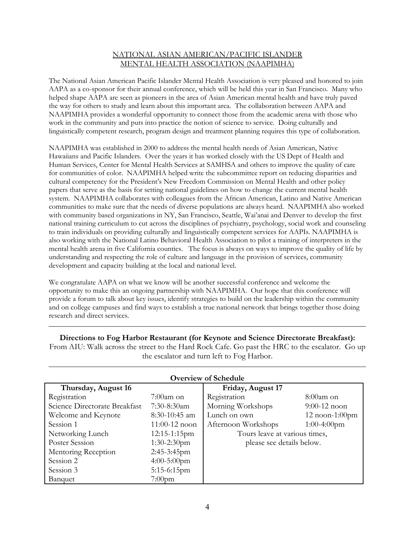### NATIONAL ASIAN AMERICAN/PACIFIC ISLANDER MENTAL HEALTH ASSOCIATION (NAAPIMHA)

The National Asian American Pacific Islander Mental Health Association is very pleased and honored to join AAPA as a co-sponsor for their annual conference, which will be held this year in San Francisco. Many who helped shape AAPA are seen as pioneers in the area of Asian American mental health and have truly paved the way for others to study and learn about this important area. The collaboration between AAPA and NAAPIMHA provides a wonderful opportunity to connect those from the academic arena with those who work in the community and puts into practice the notion of science to service. Doing culturally and linguistically competent research, program design and treatment planning requires this type of collaboration.

NAAPIMHA was established in 2000 to address the mental health needs of Asian American, Native Hawaiians and Pacific Islanders. Over the years it has worked closely with the US Dept of Health and Human Services, Center for Mental Health Services at SAMHSA and others to improve the quality of care for communities of color. NAAPIMHA helped write the subcommittee report on reducing disparities and cultural competency for the President's New Freedom Commission on Mental Health and other policy papers that serve as the basis for setting national guidelines on how to change the current mental health system. NAAPIMHA collaborates with colleagues from the African American, Latino and Native American communities to make sure that the needs of diverse populations are always heard. NAAPIMHA also worked with community based organizations in NY, San Francisco, Seattle, Wai'anai and Denver to develop the first national training curriculum to cut across the disciplines of psychiatry, psychology, social work and counseling to train individuals on providing culturally and linguistically competent services for AAPIs. NAAPIMHA is also working with the National Latino Behavioral Health Association to pilot a training of interpreters in the mental health arena in five California counties. The focus is always on ways to improve the quality of life by understanding and respecting the role of culture and language in the provision of services, community development and capacity building at the local and national level.

We congratulate AAPA on what we know will be another successful conference and welcome the opportunity to make this an ongoing partnership with NAAPIMHA. Our hope that this conference will provide a forum to talk about key issues, identify strategies to build on the leadership within the community and on college campuses and find ways to establish a true national network that brings together those doing research and direct services.

| <b>Overview of Schedule</b>   |                 |                               |                      |
|-------------------------------|-----------------|-------------------------------|----------------------|
| Thursday, August 16           |                 | Friday, August 17             |                      |
| Registration                  | $7:00$ am on    | Registration                  | $8:00$ am on         |
| Science Directorate Breakfast | 7:30-8:30am     | Morning Workshops             | $9:00-12$ noon       |
| Welcome and Keynote           | $8:30-10:45$ am | Lunch on own                  | $12$ noon- $1:00$ pm |
| Session 1                     | $11:00-12$ noon | Afternoon Workshops           | $1:00-4:00$ pm       |
| Networking Lunch              | $12:15-1:15$ pm | Tours leave at various times, |                      |
| Poster Session                | $1:30-2:30$ pm  | please see details below.     |                      |
| Mentoring Reception           | 2:45-3:45pm     |                               |                      |
| Session 2                     | $4:00-5:00$ pm  |                               |                      |
| Session 3                     | $5:15-6:15$ pm  |                               |                      |
| Banquet                       | $7:00$ pm       |                               |                      |

**Directions to Fog Harbor Restaurant (for Keynote and Science Directorate Breakfast):** From AIU: Walk across the street to the Hard Rock Cafe. Go past the HRC to the escalator. Go up the escalator and turn left to Fog Harbor.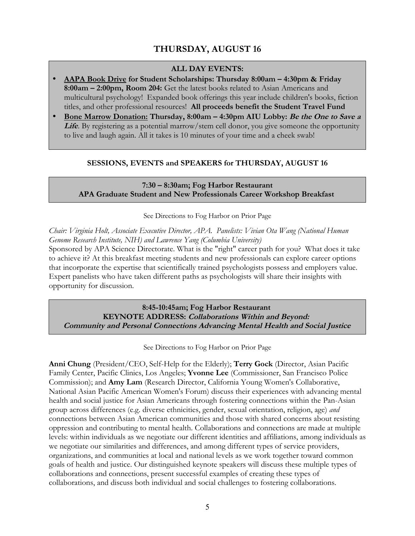### **THURSDAY, AUGUST 16**

### **ALL DAY EVENTS:**

- • **AAPA Book Drive for Student Scholarships: Thursday 8:00am 4:30pm & Friday 8:00am – 2:00pm, Room 204:** Get the latest books related to Asian Americans and multicultural psychology! Expanded book offerings this year include children's books, fiction titles, and other professional resources! **All proceeds benefit the Student Travel Fund**
- • **Bone Marrow Donation: Thursday, 8:00am 4:30pm AIU Lobby: Be the One to Save a** Life. By registering as a potential marrow/stem cell donor, you give someone the opportunity to live and laugh again. All it takes is 10 minutes of your time and a cheek swab!

### **SESSIONS, EVENTS and SPEAKERS for THURSDAY, AUGUST 16**

### **7:30 – 8:30am; Fog Harbor Restaurant APA Graduate Student and New Professionals Career Workshop Breakfast**

#### See Directions to Fog Harbor on Prior Page

*Chair: Virginia Holt, Associate Executive Director, APA. Panelists: Vivian Ota Wang (National Human Genome Research Institute, NIH) and Lawrence Yang (Columbia University)*

Sponsored by APA Science Directorate. What is the "right" career path for you? What does it take to achieve it? At this breakfast meeting students and new professionals can explore career options that incorporate the expertise that scientifically trained psychologists possess and employers value. Expert panelists who have taken different paths as psychologists will share their insights with opportunity for discussion.

**8:45-10:45am; Fog Harbor Restaurant KEYNOTE ADDRESS: Collaborations Within and Beyond: Community and Personal Connections Advancing Mental Health and Social Justice**

See Directions to Fog Harbor on Prior Page

**Anni Chung** (President/CEO, Self-Help for the Elderly); **Terry Gock** (Director, Asian Pacific Family Center, Pacific Clinics, Los Angeles; **Yvonne Lee** (Commissioner, San Francisco Police Commission); and **Amy Lam** (Research Director, California Young Women's Collaborative, National Asian Pacific American Women's Forum) discuss their experiences with advancing mental health and social justice for Asian Americans through fostering connections within the Pan-Asian group across differences (e.g. diverse ethnicities, gender, sexual orientation, religion, age) *and* connections between Asian American communities and those with shared concerns about resisting oppression and contributing to mental health. Collaborations and connections are made at multiple levels: within individuals as we negotiate our different identities and affiliations, among individuals as we negotiate our similarities and differences, and among different types of service providers, organizations, and communities at local and national levels as we work together toward common goals of health and justice. Our distinguished keynote speakers will discuss these multiple types of collaborations and connections, present successful examples of creating these types of collaborations, and discuss both individual and social challenges to fostering collaborations.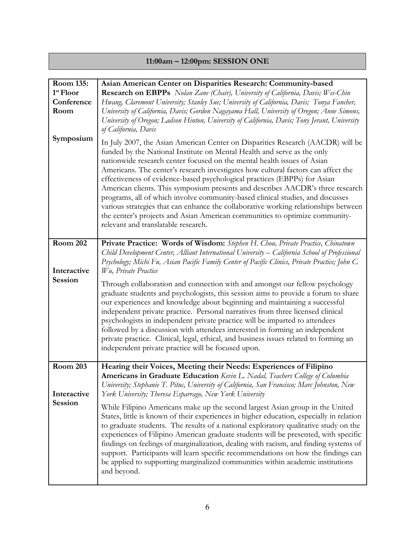## **11:00am – 12:00pm: SESSION ONE**

| Room 135:<br>1 <sup>st</sup> Floor<br>Conference<br>Room<br>Symposium | Asian American Center on Disparities Research: Community-based<br>Research on EBPPs Nolan Zane (Chair), University of California, Davis; Wei-Chin<br>Hwang, Claremont University; Stanley Sue; University of California, Davis; Tonya Fancher,<br>University of California, Davis; Gordon Nagayama Hall, University of Oregon; Anne Simons,<br>University of Oregon; Ladson Hinton, University of California, Davis; Tony Jerant, University<br>of California, Davis<br>In July 2007, the Asian American Center on Disparities Research (AACDR) will be<br>funded by the National Institute on Mental Health and serve as the only<br>nationwide research center focused on the mental health issues of Asian                                                                                                                                                                                                                                                   |
|-----------------------------------------------------------------------|-----------------------------------------------------------------------------------------------------------------------------------------------------------------------------------------------------------------------------------------------------------------------------------------------------------------------------------------------------------------------------------------------------------------------------------------------------------------------------------------------------------------------------------------------------------------------------------------------------------------------------------------------------------------------------------------------------------------------------------------------------------------------------------------------------------------------------------------------------------------------------------------------------------------------------------------------------------------|
|                                                                       | Americans. The center's research investigates how cultural factors can affect the<br>effectiveness of evidence-based psychological practices (EBPPs) for Asian<br>American clients. This symposium presents and describes AACDR's three research<br>programs, all of which involve community-based clinical studies, and discusses<br>various strategies that can enhance the collaborative working relationships between<br>the center's projects and Asian American communities to optimize community-<br>relevant and translatable research.                                                                                                                                                                                                                                                                                                                                                                                                                 |
| <b>Room 202</b><br>Interactive<br>Session                             | Private Practice: Words of Wisdom: Stephen H. Chou, Private Practice, Chinatown<br>Child Development Center, Alliant International University – California School of Professional<br>Psychology; Michi Fu, Asian Pacific Family Center of Pacific Clinics, Private Practice; John C.<br>Wu, Private Practice<br>Through collaboration and connection with and amongst our fellow psychology<br>graduate students and psychologists, this session aims to provide a forum to share<br>our experiences and knowledge about beginning and maintaining a successful<br>independent private practice. Personal narratives from three licensed clinical<br>psychologists in independent private practice will be imparted to attendees<br>followed by a discussion with attendees interested in forming an independent<br>private practice. Clinical, legal, ethical, and business issues related to forming an<br>independent private practice will be focused upon. |
| Room 203<br>Interactive<br>Session                                    | Hearing their Voices, Meeting their Needs: Experiences of Filipino<br>Americans in Graduate Education Kevin L. Nadal, Teachers College of Columbia<br>University; Stephanie T. Pituc, University of California, San Francisco; Marc Johnston, New<br>York University; Theresa Esparrago, New York University<br>While Filipino Americans make up the second largest Asian group in the United<br>States, little is known of their experiences in higher education, especially in relation<br>to graduate students. The results of a national exploratory qualitative study on the<br>experiences of Filipino American graduate students will be presented, with specific<br>findings on feelings of marginalization, dealing with racism, and finding systems of<br>support. Participants will learn specific recommendations on how the findings can<br>be applied to supporting marginalized communities within academic institutions<br>and beyond.          |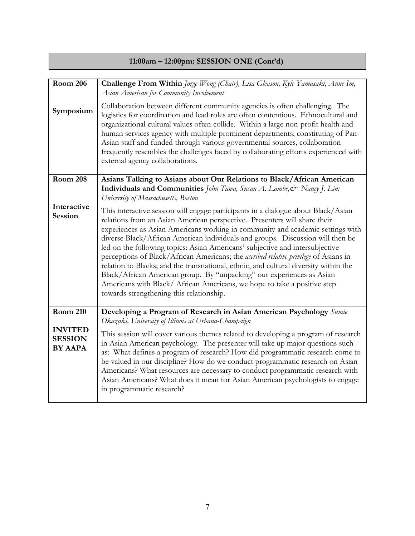# **11:00am – 12:00pm: SESSION ONE (Cont'd)**

| Room $206$                                         | Challenge From Within Jorge Wong (Chair), Lisa Gleason, Kyle Yamasaki, Anne Im,<br>Asian American for Community Involvement                                                                                                                                                                                                                                                                                                                                                                                                                                                                                                                                                                                                                                                                         |
|----------------------------------------------------|-----------------------------------------------------------------------------------------------------------------------------------------------------------------------------------------------------------------------------------------------------------------------------------------------------------------------------------------------------------------------------------------------------------------------------------------------------------------------------------------------------------------------------------------------------------------------------------------------------------------------------------------------------------------------------------------------------------------------------------------------------------------------------------------------------|
| Symposium                                          | Collaboration between different community agencies is often challenging. The<br>logistics for coordination and lead roles are often contentious. Ethnocultural and<br>organizational cultural values often collide. Within a large non-profit health and<br>human services agency with multiple prominent departments, constituting of Pan-<br>Asian staff and funded through various governmental sources, collaboration<br>frequently resembles the challenges faced by collaborating efforts experienced with<br>external agency collaborations.                                                                                                                                                                                                                                                 |
| <b>Room 208</b>                                    | Asians Talking to Asians about Our Relations to Black/African American<br>Individuals and Communities John Tawa, Susan A. Lambe, & Nancy J. Lin:<br>University of Massachusetts, Boston                                                                                                                                                                                                                                                                                                                                                                                                                                                                                                                                                                                                             |
| Interactive<br><b>Session</b>                      | This interactive session will engage participants in a dialogue about Black/Asian<br>relations from an Asian American perspective. Presenters will share their<br>experiences as Asian Americans working in community and academic settings with<br>diverse Black/African American individuals and groups. Discussion will then be<br>led on the following topics: Asian Americans' subjective and intersubjective<br>perceptions of Black/African Americans; the ascribed relative privilege of Asians in<br>relation to Blacks; and the transnational, ethnic, and cultural diversity within the<br>Black/African American group. By "unpacking" our experiences as Asian<br>Americans with Black/ African Americans, we hope to take a positive step<br>towards strengthening this relationship. |
| <b>Room 210</b>                                    | Developing a Program of Research in Asian American Psychology Sumie<br>Okazaki, University of Illinois at Urbana-Champaign                                                                                                                                                                                                                                                                                                                                                                                                                                                                                                                                                                                                                                                                          |
| <b>INVITED</b><br><b>SESSION</b><br><b>BY AAPA</b> | This session will cover various themes related to developing a program of research<br>in Asian American psychology. The presenter will take up major questions such<br>as: What defines a program of research? How did programmatic research come to<br>be valued in our discipline? How do we conduct programmatic research on Asian<br>Americans? What resources are necessary to conduct programmatic research with<br>Asian Americans? What does it mean for Asian American psychologists to engage<br>in programmatic research?                                                                                                                                                                                                                                                                |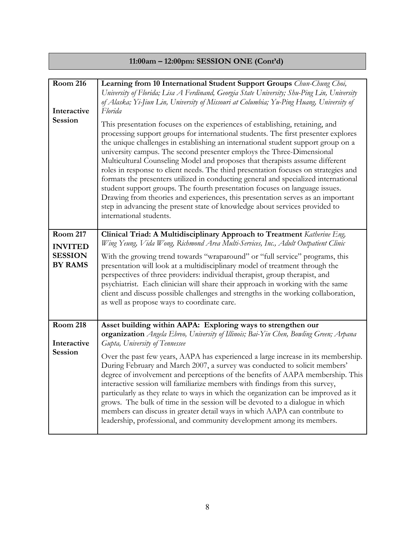# **11:00am – 12:00pm: SESSION ONE (Cont'd)**

| <b>Room 216</b><br>Interactive<br><b>Session</b>                      | Learning from 10 International Student Support Groups Chun-Chung Choi,<br>University of Florida; Lisa A Ferdinand, Georgia State University; Shu-Ping Lin, University<br>of Alaska; Yi-Jiun Lin, University of Missouri at Columbia; Yu-Ping Huang, University of<br>Florida<br>This presentation focuses on the experiences of establishing, retaining, and<br>processing support groups for international students. The first presenter explores<br>the unique challenges in establishing an international student support group on a<br>university campus. The second presenter employs the Three-Dimensional<br>Multicultural Counseling Model and proposes that therapists assume different<br>roles in response to client needs. The third presentation focuses on strategies and<br>formats the presenters utilized in conducting general and specialized international<br>student support groups. The fourth presentation focuses on language issues.<br>Drawing from theories and experiences, this presentation serves as an important<br>step in advancing the present state of knowledge about services provided to<br>international students. |
|-----------------------------------------------------------------------|------------------------------------------------------------------------------------------------------------------------------------------------------------------------------------------------------------------------------------------------------------------------------------------------------------------------------------------------------------------------------------------------------------------------------------------------------------------------------------------------------------------------------------------------------------------------------------------------------------------------------------------------------------------------------------------------------------------------------------------------------------------------------------------------------------------------------------------------------------------------------------------------------------------------------------------------------------------------------------------------------------------------------------------------------------------------------------------------------------------------------------------------------------|
| <b>Room 217</b><br><b>INVITED</b><br><b>SESSION</b><br><b>BY RAMS</b> | Clinical Triad: A Multidisciplinary Approach to Treatment Katherine Eng,<br>Wing Yeung, Vida Wong, Richmond Area Multi-Services, Inc., Adult Outpatient Clinic<br>With the growing trend towards "wraparound" or "full service" programs, this<br>presentation will look at a multidisciplinary model of treatment through the<br>perspectives of three providers: individual therapist, group therapist, and<br>psychiatrist. Each clinician will share their approach in working with the same<br>client and discuss possible challenges and strengths in the working collaboration,<br>as well as propose ways to coordinate care.                                                                                                                                                                                                                                                                                                                                                                                                                                                                                                                      |
| <b>Room 218</b><br>Interactive<br><b>Session</b>                      | Asset building within AAPA: Exploring ways to strengthen our<br>organization Angela Ebreo, University of Illinois; Bai-Yin Chen, Bowling Green; Arpana<br>Gupta, University of Tennessee<br>Over the past few years, AAPA has experienced a large increase in its membership.<br>During February and March 2007, a survey was conducted to solicit members'<br>degree of involvement and perceptions of the benefits of AAPA membership. This<br>interactive session will familiarize members with findings from this survey,<br>particularly as they relate to ways in which the organization can be improved as it<br>grows. The bulk of time in the session will be devoted to a dialogue in which<br>members can discuss in greater detail ways in which AAPA can contribute to<br>leadership, professional, and community development among its members.                                                                                                                                                                                                                                                                                              |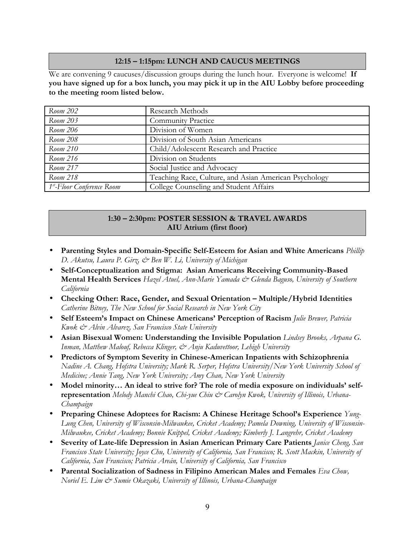### **12:15 – 1:15pm: LUNCH AND CAUCUS MEETINGS**

We are convening 9 caucuses/discussion groups during the lunch hour. Everyone is welcome! **If you have signed up for a box lunch, you may pick it up in the AIU Lobby before proceeding to the meeting room listed below.** 

| Room 202                                       | Research Methods                                      |
|------------------------------------------------|-------------------------------------------------------|
| Room 203                                       | <b>Community Practice</b>                             |
| Room 206                                       | Division of Women                                     |
| Room 208                                       | Division of South Asian Americans                     |
| Room 210                                       | Child/Adolescent Research and Practice                |
| Room 216                                       | Division on Students                                  |
| Room 217                                       | Social Justice and Advocacy                           |
| Room 218                                       | Teaching Race, Culture, and Asian American Psychology |
| $\vert$ 1 <sup>st</sup> -Floor Conference Room | College Counseling and Student Affairs                |

### **1:30 – 2:30pm: POSTER SESSION & TRAVEL AWARDS AIU Atrium (first floor)**

- **Parenting Styles and Domain-Specific Self-Esteem for Asian and White Americans** *Phillip D. Akutsu, Laura P. Girz, & Ben W. Li, University of Michigan*
- **Self-Conceptualization and Stigma: Asian Americans Receiving Community-Based Mental Health Services** *Hazel Atuel, Ann-Marie Yamada & Glenda Baguso, University of Southern California*
- **Checking Other: Race, Gender, and Sexual Orientation Multiple/Hybrid Identities** *Catherine Bitney, The New School for Social Research in New York City*
- **Self Esteem's Impact on Chinese Americans' Perception of Racism** *Julie Brewer, Patricia Kwok & Alvin Alvarez, San Francisco State University*
- **Asian Bisexual Women: Understanding the Invisible Population** *Lindsey Brooks, Arpana G. Inman, Matthew Malouf, Rebecca Klinger, & Anju Kaduvettoor, Lehigh University*
- **Predictors of Symptom Severity in Chinese-American Inpatients with Schizophrenia** *Nadine A. Chang, Hofstra University; Mark R. Serper, Hofstra University/New York University School of Medicine; Annie Tang, New York University; Amy Chan, New York University*
- **Model minority… An ideal to strive for? The role of media exposure on individuals' selfrepresentation** *Melody Manchi Chao, Chi-yue Chiu & Carolyn Kwok, University of Illinois, Urbana-Champaign*
- **Preparing Chinese Adoptees for Racism: A Chinese Heritage School's Experience** *Yung-Lung Chen, University of Wisconsin-Milwaukee, Cricket Academy; Pamela Downing, University of Wisconsin-Milwaukee, Cricket Academy; Bonnie Knippel, Cricket Academy; Kimberly J. Langrehr, Cricket Academy*
- **Severity of Late-life Depression in Asian American Primary Care Patients** *Janice Cheng, San Francisco State University; Joyce Chu, University of California, San Francisco; R. Scott Mackin, University of California, San Francisco; Patricia Areán, University of California, San Francisco*
- **Parental Socialization of Sadness in Filipino American Males and Females** *Eva Chow, Noriel E. Lim & Sumie Okazaki, University of Illinois, Urbana-Champaign*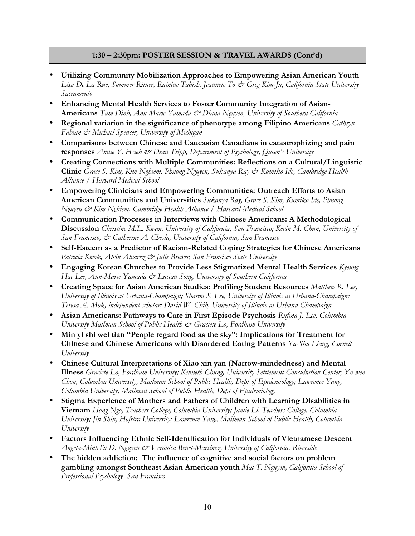### **1:30 – 2:30pm: POSTER SESSION & TRAVEL AWARDS (Cont'd)**

- **Utilizing Community Mobilization Approaches to Empowering Asian American Youth** *Lisa De La Rue, Summer Ritner, Rainine Tabish, Jeannete To & Greg Kim-Ju, California State University Sacramento*
- **Enhancing Mental Health Services to Foster Community Integration of Asian-Americans** *Tam Dinh, Ann-Marie Yamada & Diana Nguyen, University of Southern California*
- **Regional variation in the significance of phenotype among Filipino Americans** *Cathryn Fabian & Michael Spencer, University of Michigan*
- **Comparisons between Chinese and Caucasian Canadians in catastrophizing and pain responses** *Annie Y. Hsieh & Dean Tripp, Department of Psychology, Queen's University*
- **Creating Connections with Multiple Communities: Reflections on a Cultural/Linguistic Clinic** *Grace S. Kim, Kim Nghiem, Phuong Nguyen, Sukanya Ray & Kumiko Ide, Cambridge Health Alliance / Harvard Medical School*
- **Empowering Clinicians and Empowering Communities: Outreach Efforts to Asian American Communities and Universities** *Sukanya Ray, Grace S. Kim, Kumiko Ide, Phuong Nguyen & Kim Nghiem, Cambridge Health Alliance / Harvard Medical School*
- **Communication Processes in Interviews with Chinese Americans: A Methodological Discussion** *Christine M.L. Kwan, University of California, San Francisco; Kevin M. Chun, University of San Francisco; & Catherine A. Chesla, University of California, San Francisco*
- **Self-Esteem as a Predictor of Racism-Related Coping Strategies for Chinese Americans** *Patricia Kwok, Alvin Alvarez & Julie Brewer, San Francisco State University*
- **Engaging Korean Churches to Provide Less Stigmatized Mental Health Services** *Kyeung-Hae Lee, Ann-Marie Yamada & Lucian Song, University of Southern California*
- **Creating Space for Asian American Studies: Profiling Student Resources** *Matthew R. Lee, University of Illinois at Urbana-Champaign; Sharon S. Lee, University of Illinois at Urbana-Champaign; Teresa A. Mok, independent scholar; David W. Chih, University of Illinois at Urbana-Champaign*
- **Asian Americans: Pathways to Care in First Episode Psychosis** *Rufina J. Lee, Columbia University Mailman School of Public Health & Graciete Lo, Fordham University*
- **Min yi shi wei tian "People regard food as the sky": Implications for Treatment for Chinese and Chinese Americans with Disordered Eating Patterns** *Ya-Shu Liang, Cornell University*
- **Chinese Cultural Interpretations of Xiao xin yan (Narrow-mindedness) and Mental Illness** *Graciete Lo, Fordham University; Kenneth Chung, University Settlement Consultation Center; Yu-wen Chou, Columbia University, Mailman School of Public Health, Dept of Epidemiology; Lawrence Yang, Columbia University, Mailman School of Public Health, Dept of Epidemiology*
- **Stigma Experience of Mothers and Fathers of Children with Learning Disabilities in Vietnam** *Hong Ngo, Teachers College, Columbia University; Jamie Li, Teachers College, Columbia University; Jin Shin, Hofstra University; Lawrence Yang, Mailman School of Public Health, Columbia University*
- **Factors Influencing Ethnic Self-Identification for Individuals of Vietnamese Descent** *Angela-MinhTu D. Nguyen & Verónica Benet-Martínez, University of California, Riverside*
- **The hidden addiction: The influence of cognitive and social factors on problem gambling amongst Southeast Asian American youth** *Mai T. Nguyen, California School of Professional Psychology- San Francisco*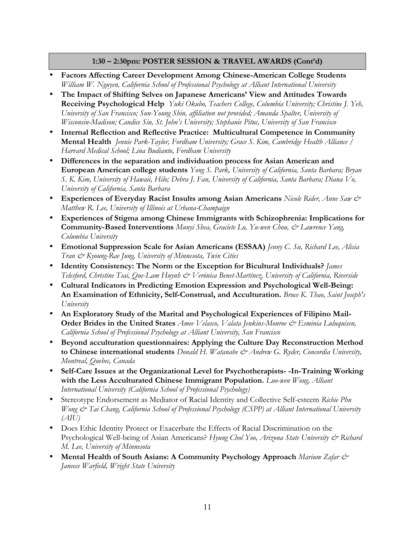### **1:30 – 2:30pm: POSTER SESSION & TRAVEL AWARDS (Cont'd)**

- **Factors Affecting Career Development Among Chinese-American College Students** *William W. Nguyen, California School of Professional Psychology at Alliant International University*
- **The Impact of Shifting Selves on Japanese Americans' View and Attitudes Towards Receiving Psychological Help** *Yuki Okubo, Teachers College, Columbia University; Christine J. Yeh, University of San Francisco; Sun-Young Shin, affiliation not provided; Amanda Spalter, University of Wisconsin-Madison; Candice Siu, St. John's University; Stephanie Pituc, University of San Francisco*
- **Internal Reflection and Reflective Practice: Multicultural Competence in Community Mental Health** *Jennie Park-Taylor, Fordham University; Grace S. Kim, Cambridge Health Alliance / Harvard Medical School; Lina Budianto, Fordham University*
- **Differences in the separation and individuation process for Asian American and European American college students** *Yong S. Park, University of California, Santa Barbara; Bryan S. K. Kim, University of Hawaii, Hilo; Debra J. Fan, University of California, Santa Barbara; Diana Vo, University of California, Santa Barbara*
- **Experiences of Everyday Racist Insults among Asian Americans** *Nicole Rider, Anne Saw & Matthew R. Lee, University of Illinois at Urbana-Champaign*
- **Experiences of Stigma among Chinese Immigrants with Schizophrenia: Implications for Community-Based Interventions** *Munyi Shea, Graciete Lo, Yu-wen Chou, & Lawrence Yang, Columbia University*
- **Emotional Suppression Scale for Asian Americans (ESSAA)** *Jenny C. Su, Richard Lee, Alisia Tran & Kyoung-Rae Jung, University of Minnesota, Twin Cities*
- **Identity Consistency: The Norm or the Exception for Bicultural Individuals?** *James Telesford, Christine Tsai, Que-Lam Huynh & Verónica Benet-Martínez, University of California, Riverside*
- **Cultural Indicators in Predicting Emotion Expression and Psychological Well-Being: An Examination of Ethnicity, Self-Construal, and Acculturation.** *Bruce K. Thao, Saint Joseph's University*
- **An Exploratory Study of the Marital and Psychological Experiences of Filipino Mail-Order Brides in the United States** *Amee Velasco, Valata Jenkins-Monroe & Esminia Luluquisen, California School of Professional Psychology at Alliant University, San Francisco*
- **Beyond acculturation questionnaires: Applying the Culture Day Reconstruction Method to Chinese international students** *Donald H. Watanabe & Andrew G. Ryder, Concordia University, Montreal, Quebec, Canada*
- **Self-Care Issues at the Organizational Level for Psychotherapists- -In-Training Working with the Less Acculturated Chinese Immigrant Population.** *Luo-wen Wong, Alliant International University (California School of Professional Psychology)*
- Stereotype Endorsement as Mediator of Racial Identity and Collective Self-esteem *Richie Phu Wong & Tai Chang, California School of Professional Psychology (CSPP) at Alliant International University (AIU)*
- Does Ethic Identity Protect or Exacerbate the Effects of Racial Discrimination on the Psychological Well-being of Asian Americans? *Hyung Chol Yoo, Arizona State University & Richard M. Lee, University of Minnesota*
- **Mental Health of South Asians: A Community Psychology Approach** *Marium Zafar & Janeece Warfield, Wright State University*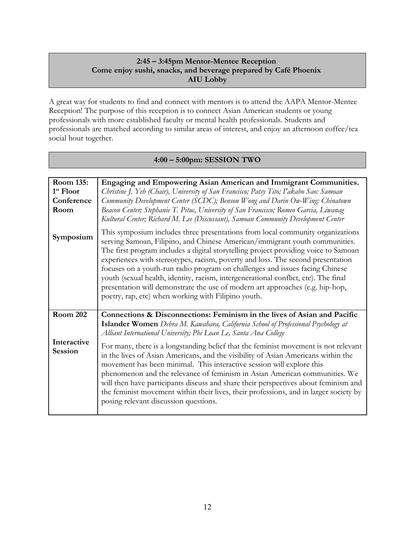### **2:45 – 3:45pm Mentor-Mentee Reception Come enjoy sushi, snacks, and beverage prepared by Café Phoenix AIU Lobby**

A great way for students to find and connect with mentors is to attend the AAPA Mentor-Mentee Reception! The purpose of this reception is to connect Asian American students or young professionals with more established faculty or mental health professionals. Students and professionals are matched according to similar areas of interest, and enjoy an afternoon coffee/tea social hour together.

### **4:00 – 5:00pm: SESSION TWO**

| Room 135:                     | Engaging and Empowering Asian American and Immigrant Communities.                                                                                                                                                                                                                                                                                                                                                                                                                                                                                                                                                                                      |
|-------------------------------|--------------------------------------------------------------------------------------------------------------------------------------------------------------------------------------------------------------------------------------------------------------------------------------------------------------------------------------------------------------------------------------------------------------------------------------------------------------------------------------------------------------------------------------------------------------------------------------------------------------------------------------------------------|
| 1 <sup>st</sup> Floor         | Christine J. Yeh (Chair), University of San Francisco; Patsy Tito; I'akabo Sao: Samoan                                                                                                                                                                                                                                                                                                                                                                                                                                                                                                                                                                 |
| Conference                    | Community Development Center (SCDC); Benson Wong and Darin Ow-Wing: Chinatown                                                                                                                                                                                                                                                                                                                                                                                                                                                                                                                                                                          |
| Room                          | Beacon Center; Stephanie T. Pituc, University of San Francisco; Romeo Garcia, Liwanag                                                                                                                                                                                                                                                                                                                                                                                                                                                                                                                                                                  |
|                               | Kultural Center; Richard M. Lee (Discussant), Samoan Community Development Center                                                                                                                                                                                                                                                                                                                                                                                                                                                                                                                                                                      |
| Symposium                     | This symposium includes three presentations from local community organizations<br>serving Samoan, Filipino, and Chinese American/immigrant youth communities.<br>The first program includes a digital storytelling project providing voice to Samoan<br>experiences with stereotypes, racism, poverty and loss. The second presentation<br>focuses on a youth-run radio program on challenges and issues facing Chinese<br>youth (sexual health, identity, racism, intergenerational conflict, etc). The final<br>presentation will demonstrate the use of modern art approaches (e.g. hip-hop,<br>poetry, rap, etc) when working with Filipino youth. |
| <b>Room 202</b>               | Connections & Disconnections: Feminism in the lives of Asian and Pacific                                                                                                                                                                                                                                                                                                                                                                                                                                                                                                                                                                               |
|                               | <b>Islander Women</b> Debra M. Kawahara, California School of Professional Psychology at<br>Alliant International University; Phi Loan Le, Santa Ana College                                                                                                                                                                                                                                                                                                                                                                                                                                                                                           |
| Interactive<br><b>Session</b> | For many, there is a longstanding belief that the feminist movement is not relevant<br>in the lives of Asian Americans, and the visibility of Asian Americans within the<br>movement has been minimal. This interactive session will explore this<br>phenomenon and the relevance of feminism in Asian American communities. We<br>will then have participants discuss and share their perspectives about feminism and<br>the feminist movement within their lives, their professions, and in larger society by<br>posing relevant discussion questions.                                                                                               |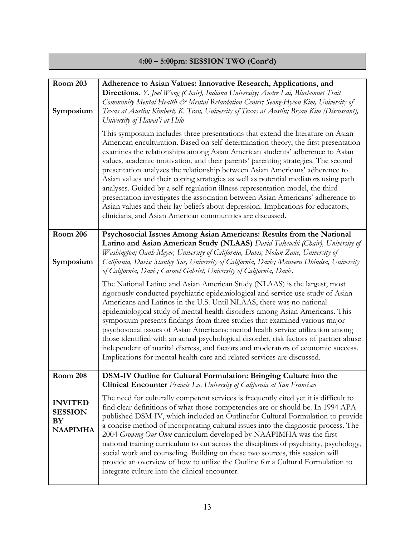# **4:00 – 5:00pm: SESSION TWO (Cont'd)**

| <b>Room 203</b><br>Symposium                                                 | Adherence to Asian Values: Innovative Research, Applications, and<br>Directions. Y. Joel Wong (Chair), Indiana University; Andre Lai, Bluebonnet Trail<br>Community Mental Health & Mental Retardation Center; Seong-Hyeon Kim, University of<br>Texas at Austin; Kimberly K. Tran, University of Texas at Austin; Bryan Kim (Discussant),<br>University of Hawai'i at Hilo<br>This symposium includes three presentations that extend the literature on Asian<br>American enculturation. Based on self-determination theory, the first presentation<br>examines the relationships among Asian American students' adherence to Asian<br>values, academic motivation, and their parents' parenting strategies. The second<br>presentation analyzes the relationship between Asian Americans' adherence to<br>Asian values and their coping strategies as well as potential mediators using path<br>analyses. Guided by a self-regulation illness representation model, the third<br>presentation investigates the association between Asian Americans' adherence to<br>Asian values and their lay beliefs about depression. Implications for educators,<br>clinicians, and Asian American communities are discussed. |
|------------------------------------------------------------------------------|---------------------------------------------------------------------------------------------------------------------------------------------------------------------------------------------------------------------------------------------------------------------------------------------------------------------------------------------------------------------------------------------------------------------------------------------------------------------------------------------------------------------------------------------------------------------------------------------------------------------------------------------------------------------------------------------------------------------------------------------------------------------------------------------------------------------------------------------------------------------------------------------------------------------------------------------------------------------------------------------------------------------------------------------------------------------------------------------------------------------------------------------------------------------------------------------------------------------|
| <b>Room 206</b><br>Symposium                                                 | Psychosocial Issues Among Asian Americans: Results from the National<br>Latino and Asian American Study (NLAAS) David Takeuchi (Chair), University of<br>Washington; Oanh Meyer, University of California, Davis; Nolan Zane, University of<br>California, Davis; Stanley Sue, University of California, Davis; Manveen Dhindsa, University<br>of California, Davis; Carmel Gabriel, University of California, Davis.<br>The National Latino and Asian American Study (NLAAS) is the largest, most<br>rigorously conducted psychiatric epidemiological and service use study of Asian<br>Americans and Latinos in the U.S. Until NLAAS, there was no national<br>epidemiological study of mental health disorders among Asian Americans. This<br>symposium presents findings from three studies that examined various major<br>psychosocial issues of Asian Americans: mental health service utilization among<br>those identified with an actual psychological disorder, risk factors of partner abuse<br>independent of marital distress, and factors and moderators of economic success.<br>Implications for mental health care and related services are discussed.                                              |
| <b>Room 208</b><br><b>INVITED</b><br><b>SESSION</b><br>BY<br><b>NAAPIMHA</b> | DSM-IV Outline for Cultural Formulation: Bringing Culture into the<br>Clinical Encounter Francis Lu, University of California at San Francisco<br>The need for culturally competent services is frequently cited yet it is difficult to<br>find clear definitions of what those competencies are or should be. In 1994 APA<br>published DSM-IV, which included an Outlinefor Cultural Formulation to provide<br>a concise method of incorporating cultural issues into the diagnostic process. The<br>2004 Growing Our Own curriculum developed by NAAPIMHA was the first<br>national training curriculum to cut across the disciplines of psychiatry, psychology,<br>social work and counseling. Building on these two sources, this session will<br>provide an overview of how to utilize the Outline for a Cultural Formulation to<br>integrate culture into the clinical encounter.                                                                                                                                                                                                                                                                                                                             |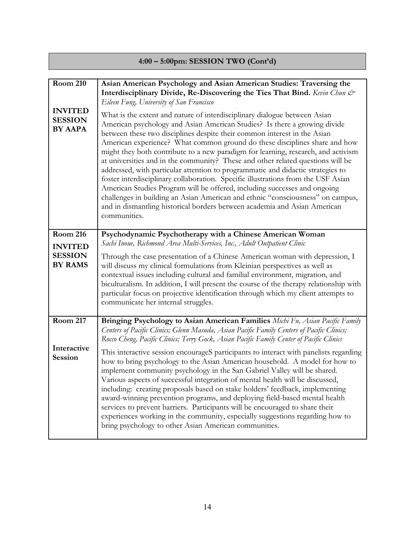# **4:00 – 5:00pm: SESSION TWO (Cont'd)**

| <b>Room 210</b><br><b>INVITED</b><br><b>SESSION</b><br><b>BY AAPA</b> | Asian American Psychology and Asian American Studies: Traversing the<br>Interdisciplinary Divide, Re-Discovering the Ties That Bind. Kevin Chun &<br>Eileen Fung, University of San Francisco<br>What is the extent and nature of interdisciplinary dialogue between Asian<br>American psychology and Asian American Studies? Is there a growing divide<br>between these two disciplines despite their common interest in the Asian<br>American experience? What common ground do these disciplines share and how<br>might they both contribute to a new paradigm for learning, research, and activism<br>at universities and in the community? These and other related questions will be<br>addressed, with particular attention to programmatic and didactic strategies to<br>foster interdisciplinary collaboration. Specific illustrations from the USF Asian<br>American Studies Program will be offered, including successes and ongoing<br>challenges in building an Asian American and ethnic "consciousness" on campus,<br>and in dismantling historical borders between academia and Asian American<br>communities. |
|-----------------------------------------------------------------------|-------------------------------------------------------------------------------------------------------------------------------------------------------------------------------------------------------------------------------------------------------------------------------------------------------------------------------------------------------------------------------------------------------------------------------------------------------------------------------------------------------------------------------------------------------------------------------------------------------------------------------------------------------------------------------------------------------------------------------------------------------------------------------------------------------------------------------------------------------------------------------------------------------------------------------------------------------------------------------------------------------------------------------------------------------------------------------------------------------------------------------|
| <b>Room 216</b><br><b>INVITED</b><br><b>SESSION</b><br><b>BY RAMS</b> | Psychodynamic Psychotherapy with a Chinese American Woman<br>Sachi Inoue, Richmond Area Multi-Services, Inc., Adult Outpatient Clinic<br>Through the case presentation of a Chinese American woman with depression, I<br>will discuss my clinical formulations from Kleinian perspectives as well as<br>contextual issues including cultural and familial environment, migration, and<br>biculturalism. In addition, I will present the course of the therapy relationship with<br>particular focus on projective identification through which my client attempts to<br>communicate her internal struggles.                                                                                                                                                                                                                                                                                                                                                                                                                                                                                                                   |
| <b>Room 217</b><br>Interactive<br>Session                             | Bringing Psychology to Asian American Families Michi Fu, Asian Pacific Family<br>Centers of Pacific Clinics; Glenn Masuda, Asian Pacific Family Centers of Pacific Clinics;<br>Rocco Cheng, Pacific Clinics; Terry Gock, Asian Pacific Family Center of Pacific Clinics<br>This interactive session encourageS participants to interact with panelists regarding<br>how to bring psychology to the Asian American household. A model for how to<br>implement community psychology in the San Gabriel Valley will be shared.<br>Various aspects of successful integration of mental health will be discussed,<br>including: creating proposals based on stake holders' feedback, implementing<br>award-winning prevention programs, and deploying field-based mental health<br>services to prevent barriers. Participants will be encouraged to share their<br>experiences working in the community, especially suggestions regarding how to<br>bring psychology to other Asian American communities.                                                                                                                          |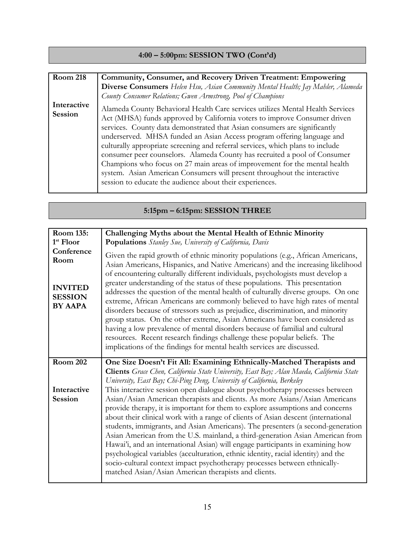### **4:00 – 5:00pm: SESSION TWO (Cont'd)**

| <b>Room 218</b>               | Community, Consumer, and Recovery Driven Treatment: Empowering                                                                                                                                                                                                                                                                                                                                                                                                                                                                                                                                                                                                                                         |
|-------------------------------|--------------------------------------------------------------------------------------------------------------------------------------------------------------------------------------------------------------------------------------------------------------------------------------------------------------------------------------------------------------------------------------------------------------------------------------------------------------------------------------------------------------------------------------------------------------------------------------------------------------------------------------------------------------------------------------------------------|
|                               | Diverse Consumers Helen Hsu, Asian Community Mental Health; Jay Mahler, Alameda                                                                                                                                                                                                                                                                                                                                                                                                                                                                                                                                                                                                                        |
|                               | County Consumer Relations; Gwen Armstrong, Pool of Champions                                                                                                                                                                                                                                                                                                                                                                                                                                                                                                                                                                                                                                           |
| Interactive<br><b>Session</b> | Alameda County Behavioral Health Care services utilizes Mental Health Services<br>Act (MHSA) funds approved by California voters to improve Consumer driven<br>services. County data demonstrated that Asian consumers are significantly<br>underserved. MHSA funded an Asian Access program offering language and<br>culturally appropriate screening and referral services, which plans to include<br>consumer peer counselors. Alameda County has recruited a pool of Consumer<br>Champions who focus on 27 main areas of improvement for the mental health<br>system. Asian American Consumers will present throughout the interactive<br>session to educate the audience about their experiences. |

# **5:15pm – 6:15pm: SESSION THREE**

| Room 135:                                                                | Challenging Myths about the Mental Health of Ethnic Minority                                                                                                                                                                                                                                                                                                                                                                                                                                                                                                                                                                                                                                                                                                                                                                                                                                                    |
|--------------------------------------------------------------------------|-----------------------------------------------------------------------------------------------------------------------------------------------------------------------------------------------------------------------------------------------------------------------------------------------------------------------------------------------------------------------------------------------------------------------------------------------------------------------------------------------------------------------------------------------------------------------------------------------------------------------------------------------------------------------------------------------------------------------------------------------------------------------------------------------------------------------------------------------------------------------------------------------------------------|
| 1 <sup>st</sup> Floor                                                    | Populations Stanley Sue, University of California, Davis                                                                                                                                                                                                                                                                                                                                                                                                                                                                                                                                                                                                                                                                                                                                                                                                                                                        |
| Conference<br>Room<br><b>INVITED</b><br><b>SESSION</b><br><b>BY AAPA</b> | Given the rapid growth of ethnic minority populations (e.g., African Americans,<br>Asian Americans, Hispanics, and Native Americans) and the increasing likelihood<br>of encountering culturally different individuals, psychologists must develop a<br>greater understanding of the status of these populations. This presentation<br>addresses the question of the mental health of culturally diverse groups. On one<br>extreme, African Americans are commonly believed to have high rates of mental<br>disorders because of stressors such as prejudice, discrimination, and minority<br>group status. On the other extreme, Asian Americans have been considered as<br>having a low prevalence of mental disorders because of familial and cultural<br>resources. Recent research findings challenge these popular beliefs. The<br>implications of the findings for mental health services are discussed. |
| <b>Room 202</b>                                                          | One Size Doesn't Fit All: Examining Ethnically-Matched Therapists and                                                                                                                                                                                                                                                                                                                                                                                                                                                                                                                                                                                                                                                                                                                                                                                                                                           |
|                                                                          | Clients Grace Chen, California State University, East Bay; Alan Maeda, California State<br>University, East Bay; Chi-Ping Deng, University of California, Berkeley                                                                                                                                                                                                                                                                                                                                                                                                                                                                                                                                                                                                                                                                                                                                              |
| Interactive                                                              | This interactive session open dialogue about psychotherapy processes between                                                                                                                                                                                                                                                                                                                                                                                                                                                                                                                                                                                                                                                                                                                                                                                                                                    |
| <b>Session</b>                                                           | Asian/Asian American therapists and clients. As more Asians/Asian Americans<br>provide therapy, it is important for them to explore assumptions and concerns<br>about their clinical work with a range of clients of Asian descent (international<br>students, immigrants, and Asian Americans). The presenters (a second-generation                                                                                                                                                                                                                                                                                                                                                                                                                                                                                                                                                                            |
|                                                                          | Asian American from the U.S. mainland, a third-generation Asian American from<br>Hawai'i, and an international Asian) will engage participants in examining how<br>psychological variables (acculturation, ethnic identity, racial identity) and the<br>socio-cultural context impact psychotherapy processes between ethnically-<br>matched Asian/Asian American therapists and clients.                                                                                                                                                                                                                                                                                                                                                                                                                                                                                                                       |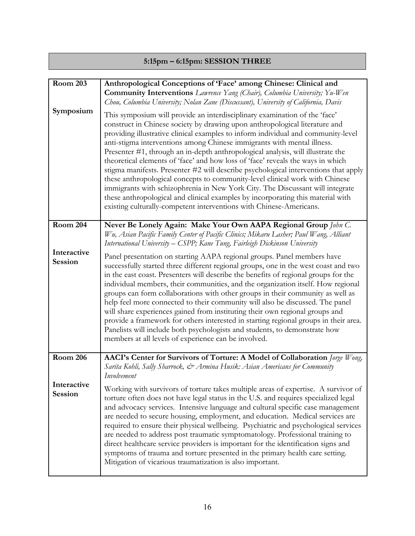# **5:15pm – 6:15pm: SESSION THREE**

| <b>Room 203</b><br>Symposium  | Anthropological Conceptions of 'Face' among Chinese: Clinical and<br><b>Community Interventions</b> Lawrence Yang (Chair), Columbia University; Yu-Wen<br>Chou, Columbia University; Nolan Zane (Discussant), University of California, Davis<br>This symposium will provide an interdisciplinary examination of the 'face'<br>construct in Chinese society by drawing upon anthropological literature and<br>providing illustrative clinical examples to inform individual and community-level<br>anti-stigma interventions among Chinese immigrants with mental illness.<br>Presenter #1, through an in-depth anthropological analysis, will illustrate the<br>theoretical elements of 'face' and how loss of 'face' reveals the ways in which                                                                           |
|-------------------------------|----------------------------------------------------------------------------------------------------------------------------------------------------------------------------------------------------------------------------------------------------------------------------------------------------------------------------------------------------------------------------------------------------------------------------------------------------------------------------------------------------------------------------------------------------------------------------------------------------------------------------------------------------------------------------------------------------------------------------------------------------------------------------------------------------------------------------|
|                               | stigma manifests. Presenter #2 will describe psychological interventions that apply<br>these anthropological concepts to community-level clinical work with Chinese<br>immigrants with schizophrenia in New York City. The Discussant will integrate<br>these anthropological and clinical examples by incorporating this material with<br>existing culturally-competent interventions with Chinese-Americans.                                                                                                                                                                                                                                                                                                                                                                                                             |
| <b>Room 204</b>               | Never Be Lonely Again: Make Your Own AAPA Regional Group John C.<br>Wu, Asian Pacific Family Center of Pacific Clinics; Mikaru Lasher; Paul Wang, Alliant<br>International University – CSPP; Kane Tung, Fairleigh Dickinson University                                                                                                                                                                                                                                                                                                                                                                                                                                                                                                                                                                                    |
| Interactive<br><b>Session</b> | Panel presentation on starting AAPA regional groups. Panel members have<br>successfully started three different regional groups, one in the west coast and two<br>in the east coast. Presenters will describe the benefits of regional groups for the<br>individual members, their communities, and the organization itself. How regional<br>groups can form collaborations with other groups in their community as well as<br>help feel more connected to their community will also be discussed. The panel<br>will share experiences gained from instituting their own regional groups and<br>provide a framework for others interested in starting regional groups in their area.<br>Panelists will include both psychologists and students, to demonstrate how<br>members at all levels of experience can be involved. |
| <b>Room 206</b>               | AACI's Center for Survivors of Torture: A Model of Collaboration Jorge Wong,<br>Sarita Kohli, Sally Sharrock, & Armina Husik: Asian Americans for Community<br>Involvement                                                                                                                                                                                                                                                                                                                                                                                                                                                                                                                                                                                                                                                 |
| Interactive<br><b>Session</b> | Working with survivors of torture takes multiple areas of expertise. A survivor of<br>torture often does not have legal status in the U.S. and requires specialized legal<br>and advocacy services. Intensive language and cultural specific case management<br>are needed to secure housing, employment, and education. Medical services are<br>required to ensure their physical wellbeing. Psychiatric and psychological services<br>are needed to address post traumatic symptomatology. Professional training to<br>direct healthcare service providers is important for the identification signs and<br>symptoms of trauma and torture presented in the primary health care setting.<br>Mitigation of vicarious traumatization is also important.                                                                    |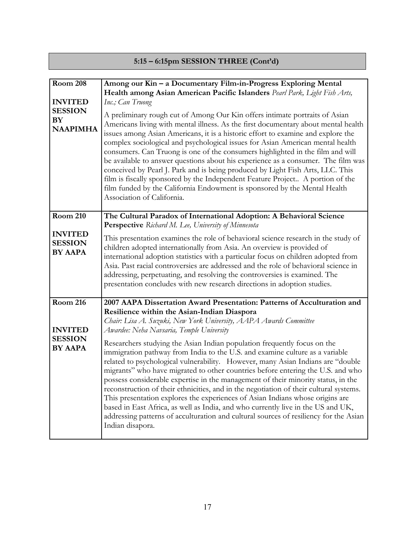# **5:15 – 6:15pm SESSION THREE (Cont'd)**

| <b>Room 208</b><br><b>INVITED</b><br><b>SESSION</b><br>BY<br><b>NAAPIMHA</b> | Among our Kin - a Documentary Film-in-Progress Exploring Mental<br>Health among Asian American Pacific Islanders Pearl Park, Light Fish Arts,<br>Inc.; Can Truong<br>A preliminary rough cut of Among Our Kin offers intimate portraits of Asian<br>Americans living with mental illness. As the first documentary about mental health<br>issues among Asian Americans, it is a historic effort to examine and explore the<br>complex sociological and psychological issues for Asian American mental health<br>consumers. Can Truong is one of the consumers highlighted in the film and will<br>be available to answer questions about his experience as a consumer. The film was<br>conceived by Pearl J. Park and is being produced by Light Fish Arts, LLC. This<br>film is fiscally sponsored by the Independent Feature Project. A portion of the<br>film funded by the California Endowment is sponsored by the Mental Health<br>Association of California.                                                                          |
|------------------------------------------------------------------------------|----------------------------------------------------------------------------------------------------------------------------------------------------------------------------------------------------------------------------------------------------------------------------------------------------------------------------------------------------------------------------------------------------------------------------------------------------------------------------------------------------------------------------------------------------------------------------------------------------------------------------------------------------------------------------------------------------------------------------------------------------------------------------------------------------------------------------------------------------------------------------------------------------------------------------------------------------------------------------------------------------------------------------------------------|
| <b>Room 210</b><br><b>INVITED</b><br><b>SESSION</b><br><b>BY AAPA</b>        | The Cultural Paradox of International Adoption: A Behavioral Science<br>Perspective Richard M. Lee, University of Minnesota<br>This presentation examines the role of behavioral science research in the study of<br>children adopted internationally from Asia. An overview is provided of<br>international adoption statistics with a particular focus on children adopted from<br>Asia. Past racial controversies are addressed and the role of behavioral science in<br>addressing, perpetuating, and resolving the controversies is examined. The<br>presentation concludes with new research directions in adoption studies.                                                                                                                                                                                                                                                                                                                                                                                                           |
| <b>Room 216</b><br><b>INVITED</b><br><b>SESSION</b><br><b>BY AAPA</b>        | 2007 AAPA Dissertation Award Presentation: Patterns of Acculturation and<br>Resilience within the Asian-Indian Diaspora<br>Chair: Lisa A. Suzuki, New York University, AAPA Awards Committee<br>Awardee: Neha Navsaria, Temple University<br>Researchers studying the Asian Indian population frequently focus on the<br>immigration pathway from India to the U.S. and examine culture as a variable<br>related to psychological vulnerability. However, many Asian Indians are "double<br>migrants" who have migrated to other countries before entering the U.S. and who<br>possess considerable expertise in the management of their minority status, in the<br>reconstruction of their ethnicities, and in the negotiation of their cultural systems.<br>This presentation explores the experiences of Asian Indians whose origins are<br>based in East Africa, as well as India, and who currently live in the US and UK,<br>addressing patterns of acculturation and cultural sources of resiliency for the Asian<br>Indian disapora. |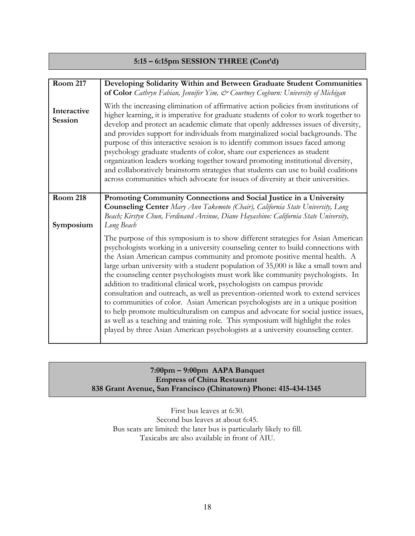### **5:15 – 6:15pm SESSION THREE (Cont'd)**

| <b>Room 217</b>               | Developing Solidarity Within and Between Graduate Student Communities<br>of Color Cathryn Fabian, Jennifer Yim, & Courtney Cogburn: University of Michigan                                                                                                                                                                                                                                                                                                                                                                                                                                                                                                                                                                                                                                                                                                                                                                                |
|-------------------------------|-------------------------------------------------------------------------------------------------------------------------------------------------------------------------------------------------------------------------------------------------------------------------------------------------------------------------------------------------------------------------------------------------------------------------------------------------------------------------------------------------------------------------------------------------------------------------------------------------------------------------------------------------------------------------------------------------------------------------------------------------------------------------------------------------------------------------------------------------------------------------------------------------------------------------------------------|
| Interactive<br><b>Session</b> | With the increasing elimination of affirmative action policies from institutions of<br>higher learning, it is imperative for graduate students of color to work together to<br>develop and protect an academic climate that openly addresses issues of diversity,<br>and provides support for individuals from marginalized social backgrounds. The<br>purpose of this interactive session is to identify common issues faced among<br>psychology graduate students of color, share our experiences as student<br>organization leaders working together toward promoting institutional diversity,<br>and collaboratively brainstorm strategies that students can use to build coalitions<br>across communities which advocate for issues of diversity at their universities.                                                                                                                                                              |
| <b>Room 218</b>               | Promoting Community Connections and Social Justice in a University<br><b>Counseling Center</b> Mary Ann Takemoto (Chair), California State University, Long                                                                                                                                                                                                                                                                                                                                                                                                                                                                                                                                                                                                                                                                                                                                                                               |
| Symposium                     | Beach; Kirstyn Chun, Ferdinand Arcinue, Diane Hayashino: California State University,<br>Long Beach                                                                                                                                                                                                                                                                                                                                                                                                                                                                                                                                                                                                                                                                                                                                                                                                                                       |
|                               | The purpose of this symposium is to show different strategies for Asian American<br>psychologists working in a university counseling center to build connections with<br>the Asian American campus community and promote positive mental health. A<br>large urban university with a student population of 35,000 is like a small town and<br>the counseling center psychologists must work like community psychologists. In<br>addition to traditional clinical work, psychologists on campus provide<br>consultation and outreach, as well as prevention-oriented work to extend services<br>to communities of color. Asian American psychologists are in a unique position<br>to help promote multiculturalism on campus and advocate for social justice issues,<br>as well as a teaching and training role. This symposium will highlight the roles<br>played by three Asian American psychologists at a university counseling center. |

### **7:00pm – 9:00pm AAPA Banquet Empress of China Restaurant 838 Grant Avenue, San Francisco (Chinatown) Phone: 415-434-1345**

First bus leaves at 6:30. Second bus leaves at about 6:45. Bus seats are limited: the later bus is particularly likely to fill. Taxicabs are also available in front of AIU.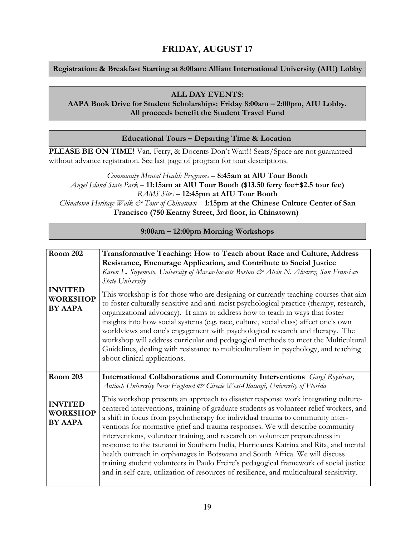## **FRIDAY, AUGUST 17**

### **Registration: & Breakfast Starting at 8:00am: Alliant International University (AIU) Lobby**

### **ALL DAY EVENTS:**

### **AAPA Book Drive for Student Scholarships: Friday 8:00am – 2:00pm, AIU Lobby. All proceeds benefit the Student Travel Fund**

### **Educational Tours – Departing Time & Location**

**PLEASE BE ON TIME!** Van, Ferry, & Docents Don't Wait!!! Seats/Space are not guaranteed without advance registration. See last page of program for tour descriptions.

*Community Mental Health Programs* – **8:45am at AlU Tour Booth** *Angel Island State Park* – **11:15am at AlU Tour Booth (\$13.50 ferry fee+\$2.5 tour fee)** *RAMS Sites* – **12:45pm at AIU Tour Booth** *Chinatown Heritage Walk & Tour of Chinatown* – **1:15pm at the Chinese Culture Center of San Francisco (750 Kearny Street, 3rd floor, in Chinatown)**

**9:00am – 12:00pm Morning Workshops**

| <b>Room 202</b>                                     | Transformative Teaching: How to Teach about Race and Culture, Address                                                                                                                                                                                                                                                                                                                                                                                                                                                                                                                                                                                                                                                                                                                   |
|-----------------------------------------------------|-----------------------------------------------------------------------------------------------------------------------------------------------------------------------------------------------------------------------------------------------------------------------------------------------------------------------------------------------------------------------------------------------------------------------------------------------------------------------------------------------------------------------------------------------------------------------------------------------------------------------------------------------------------------------------------------------------------------------------------------------------------------------------------------|
|                                                     | Resistance, Encourage Application, and Contribute to Social Justice                                                                                                                                                                                                                                                                                                                                                                                                                                                                                                                                                                                                                                                                                                                     |
|                                                     | Karen L. Suyemoto, University of Massachusetts Boston & Alvin N. Alvarez, San Francisco                                                                                                                                                                                                                                                                                                                                                                                                                                                                                                                                                                                                                                                                                                 |
|                                                     | State University                                                                                                                                                                                                                                                                                                                                                                                                                                                                                                                                                                                                                                                                                                                                                                        |
| <b>INVITED</b><br><b>WORKSHOP</b><br><b>BY AAPA</b> | This workshop is for those who are designing or currently teaching courses that aim<br>to foster culturally sensitive and anti-racist psychological practice (therapy, research,<br>organizational advocacy). It aims to address how to teach in ways that foster<br>insights into how social systems (e.g. race, culture, social class) affect one's own<br>worldviews and one's engagement with psychological research and therapy. The<br>workshop will address curricular and pedagogical methods to meet the Multicultural<br>Guidelines, dealing with resistance to multiculturalism in psychology, and teaching<br>about clinical applications.                                                                                                                                  |
| <b>Room 203</b>                                     | International Collaborations and Community Interventions Gargi Roysircar,                                                                                                                                                                                                                                                                                                                                                                                                                                                                                                                                                                                                                                                                                                               |
|                                                     | Antioch University New England & Cirecie West-Olatunji, University of Florida                                                                                                                                                                                                                                                                                                                                                                                                                                                                                                                                                                                                                                                                                                           |
| <b>INVITED</b><br><b>WORKSHOP</b><br><b>BY AAPA</b> | This workshop presents an approach to disaster response work integrating culture-<br>centered interventions, training of graduate students as volunteer relief workers, and<br>a shift in focus from psychotherapy for individual trauma to community inter-<br>ventions for normative grief and trauma responses. We will describe community<br>interventions, volunteer training, and research on volunteer preparedness in<br>response to the tsunami in Southern India, Hurricanes Katrina and Rita, and mental<br>health outreach in orphanages in Botswana and South Africa. We will discuss<br>training student volunteers in Paulo Freire's pedagogical framework of social justice<br>and in self-care, utilization of resources of resilience, and multicultural sensitivity. |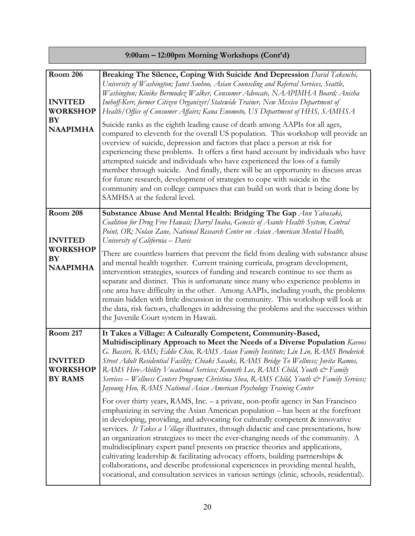| 9:00am - 12:00pm Morning Workshops (Cont'd)                                   |                                                                                                                                                                                                                                                                                                                                                                                                                                                                                                                                                                                                                                                                                                                                                                                             |  |
|-------------------------------------------------------------------------------|---------------------------------------------------------------------------------------------------------------------------------------------------------------------------------------------------------------------------------------------------------------------------------------------------------------------------------------------------------------------------------------------------------------------------------------------------------------------------------------------------------------------------------------------------------------------------------------------------------------------------------------------------------------------------------------------------------------------------------------------------------------------------------------------|--|
| <b>Room 206</b><br><b>INVITED</b><br><b>WORKSHOP</b>                          | Breaking The Silence, Coping With Suicide And Depression David Takeuchi,<br>University of Washington; Janet Soohoo, Asian Counseling and Referral Services, Seattle,<br>Washington; Kinike Bermudez Walker, Consumer Advocate, NAAPIMHA Board; Anisha<br>Imhoff-Kerr, former Citizen Organizer/Statewide Trainer, New Mexico Department of<br>Health/Office of Consumer Affairs; Kana Enomoto, US Department of HHS, SAMHSA                                                                                                                                                                                                                                                                                                                                                                 |  |
| BY<br><b>NAAPIMHA</b>                                                         | Suicide ranks as the eighth leading cause of death among AAPIs for all ages,<br>compared to eleventh for the overall US population. This workshop will provide an<br>overview of suicide, depression and factors that place a person at risk for<br>experiencing these problems. It offers a first hand account by individuals who have<br>attempted suicide and individuals who have experienced the loss of a family<br>member through suicide. And finally, there will be an opportunity to discuss areas<br>for future research, development of strategies to cope with suicide in the<br>community and on college campuses that can build on work that is being done by<br>SAMHSA at the federal level.                                                                                |  |
| <b>Room 208</b><br><b>INVITED</b><br><b>WORKSHOP</b><br>BY<br><b>NAAPIMHA</b> | Substance Abuse And Mental Health: Bridging The Gap Ann Yabusaki,<br>Coalition for Drug Free Hawaii; Darryl Inaba, Genesis of Asante Health System, Central<br>Point, OR; Nolan Zane, National Research Center on Asian American Mental Health,<br>University of California - Davis<br>There are countless barriers that prevent the field from dealing with substance abuse<br>and mental health together. Current training curricula, program development,<br>intervention strategies, sources of funding and research continue to see them as                                                                                                                                                                                                                                            |  |
|                                                                               | separate and distinct. This is unfortunate since many who experience problems in<br>one area have difficulty in the other. Among AAPIs, including youth, the problems<br>remain hidden with little discussion in the community. This workshop will look at<br>the data, risk factors, challenges in addressing the problems and the successes within<br>the Juvenile Court system in Hawaii.                                                                                                                                                                                                                                                                                                                                                                                                |  |
| <b>Room 217</b><br><b>INVITED</b><br><b>WORKSHOP</b><br><b>BY RAMS</b>        | It Takes a Village: A Culturally Competent, Community-Based,<br>Multidisciplinary Approach to Meet the Needs of a Diverse Population Kavoos<br>G. Bassiri, RAMS; Eddie Chiu, RAMS Asian Family Institute; Lin Lin, RAMS Broderick<br>Street Adult Residential Facility; Chiaki Sasaki, RAMS Bridge To Wellness; Jovita Ramos,<br>RAMS Hire-Ability Vocational Services; Kenneth Lee, RAMS Child, Youth & Family<br>Services – Wellness Centers Program; Christina Shea, RAMS Child, Youth & Family Services;<br>Jayoung Heo, RAMS National Asian American Psychology Training Center                                                                                                                                                                                                        |  |
|                                                                               | For over thirty years, RAMS, Inc. - a private, non-profit agency in San Francisco<br>emphasizing in serving the Asian American population - has been at the forefront<br>in developing, providing, and advocating for culturally competent & innovative<br>services. It Takes a Village illustrates, through didactic and case presentations, how<br>an organization strategizes to meet the ever-changing needs of the community. A<br>multidisciplinary expert panel presents on practice theories and applications,<br>cultivating leadership & facilitating advocacy efforts, building partnerships &<br>collaborations, and describe professional experiences in providing mental health,<br>vocational, and consultation services in various settings (clinic, schools, residential). |  |

Е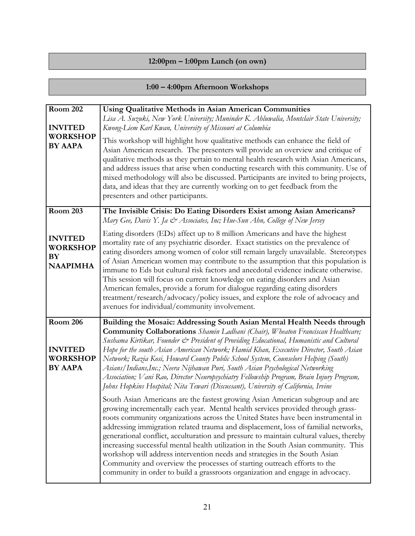### **12:00pm – 1:00pm Lunch (on own)**

# **1:00 – 4:00pm Afternoon Workshops**

| <b>Room 202</b><br><b>INVITED</b><br><b>WORKSHOP</b><br><b>BY AAPA</b> | <b>Using Qualitative Methods in Asian American Communities</b><br>Lisa A. Suzuki, New York University; Muninder K. Ahluwalia, Montclair State University;<br>Kwong-Liem Karl Kwan, University of Missouri at Columbia<br>This workshop will highlight how qualitative methods can enhance the field of<br>Asian American research. The presenters will provide an overview and critique of<br>qualitative methods as they pertain to mental health research with Asian Americans,<br>and address issues that arise when conducting research with this community. Use of<br>mixed methodology will also be discussed. Participants are invited to bring projects,<br>data, and ideas that they are currently working on to get feedback from the<br>presenters and other participants. |
|------------------------------------------------------------------------|---------------------------------------------------------------------------------------------------------------------------------------------------------------------------------------------------------------------------------------------------------------------------------------------------------------------------------------------------------------------------------------------------------------------------------------------------------------------------------------------------------------------------------------------------------------------------------------------------------------------------------------------------------------------------------------------------------------------------------------------------------------------------------------|
| <b>Room 203</b>                                                        | The Invisible Crisis: Do Eating Disorders Exist among Asian Americans?<br>Mary Gee, Davis Y. Ja & Associates, Inc; Hue-Sun Ahn, College of New Jersey                                                                                                                                                                                                                                                                                                                                                                                                                                                                                                                                                                                                                                 |
| <b>INVITED</b><br><b>WORKSHOP</b><br><b>BY</b><br><b>NAAPIMHA</b>      | Eating disorders (EDs) affect up to 8 million Americans and have the highest<br>mortality rate of any psychiatric disorder. Exact statistics on the prevalence of<br>eating disorders among women of color still remain largely unavailable. Stereotypes<br>of Asian American women may contribute to the assumption that this population is<br>immune to Eds but cultural risk factors and anecdotal evidence indicate otherwise.<br>This session will focus on current knowledge on eating disorders and Asian<br>American females, provide a forum for dialogue regarding eating disorders<br>treatment/research/advocacy/policy issues, and explore the role of advocacy and<br>avenues for individual/community involvement.                                                     |
| <b>Room 206</b>                                                        | Building the Mosaic: Addressing South Asian Mental Health Needs through                                                                                                                                                                                                                                                                                                                                                                                                                                                                                                                                                                                                                                                                                                               |
| <b>INVITED</b><br><b>WORKSHOP</b><br><b>BY AAPA</b>                    | <b>Community Collaborations</b> Shamin Ladhani (Chair), Wheaton Franciscan Healthcare;<br>Sushama Kirtikar, Founder & President of Providing Educational, Humanistic and Cultural<br>Hope for the south Asian American Network; Hamid Khan, Executive Director, South Asian<br>Network; Razia Kosi, Howard County Public School System, Counselors Helping (South)<br>Asians/Indians,Inc.; Neera Nijhawan Puri, South Asian Psychological Networking<br>Association; Vani Rao, Director Neuropsychiatry Fellowship Program, Brain Injury Program,<br>Johns Hopkins Hospital; Nita Tewari (Discussant), University of California, Irvine                                                                                                                                               |
|                                                                        | South Asian Americans are the fastest growing Asian American subgroup and are<br>growing incrementally each year. Mental health services provided through grass-<br>roots community organizations across the United States have been instrumental in<br>addressing immigration related trauma and displacement, loss of familial networks,<br>generational conflict, acculturation and pressure to maintain cultural values, thereby<br>increasing successful mental health utilization in the South Asian community. This<br>workshop will address intervention needs and strategies in the South Asian<br>Community and overview the processes of starting outreach efforts to the<br>community in order to build a grassroots organization and engage in advocacy.                 |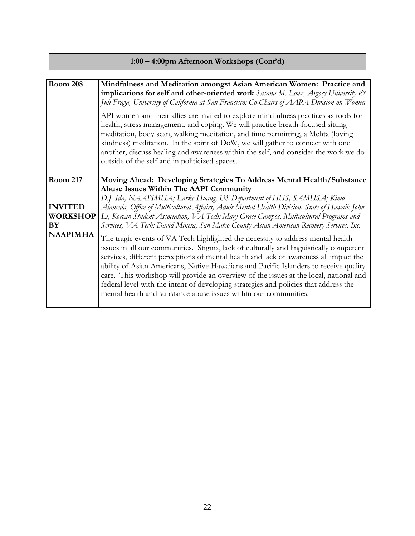| 1:00 – 4:00pm Afternoon Workshops (Cont'd) |
|--------------------------------------------|
|--------------------------------------------|

| <b>Room 208</b>                                                                      | Mindfulness and Meditation amongst Asian American Women: Practice and<br>implications for self and other-oriented work Susana M. Lowe, Argosy University &<br>Juli Fraga, University of California at San Francisco: Co-Chairs of AAPA Division on Women                                                                                                                                                                                                                                                                                                                                                                                                                                                                                                                                                                                                                                                                                                                                                                                                                                           |
|--------------------------------------------------------------------------------------|----------------------------------------------------------------------------------------------------------------------------------------------------------------------------------------------------------------------------------------------------------------------------------------------------------------------------------------------------------------------------------------------------------------------------------------------------------------------------------------------------------------------------------------------------------------------------------------------------------------------------------------------------------------------------------------------------------------------------------------------------------------------------------------------------------------------------------------------------------------------------------------------------------------------------------------------------------------------------------------------------------------------------------------------------------------------------------------------------|
|                                                                                      | API women and their allies are invited to explore mindfulness practices as tools for<br>health, stress management, and coping. We will practice breath-focused sitting<br>meditation, body scan, walking meditation, and time permitting, a Mehta (loving<br>kindness) meditation. In the spirit of DoW, we will gather to connect with one<br>another, discuss healing and awareness within the self, and consider the work we do<br>outside of the self and in politicized spaces.                                                                                                                                                                                                                                                                                                                                                                                                                                                                                                                                                                                                               |
| <b>Room 217</b><br><b>INVITED</b><br><b>WORKSHOP</b><br><b>BY</b><br><b>NAAPIMHA</b> | Moving Ahead: Developing Strategies To Address Mental Health/Substance<br>Abuse Issues Within The AAPI Community<br>D.J. Ida, NAAPIMHA; Larke Huang, US Department of HHS, SAMHSA; Kimo<br>Alameda, Office of Multicultural Affairs, Adult Mental Health Division, State of Hawaii; John<br>Li, Korean Student Association, VA Tech; Mary Grace Campos, Multicultural Programs and<br>Services, VA Tech; David Mineta, San Mateo County Asian American Recovery Services, Inc.<br>The tragic events of VA Tech highlighted the necessity to address mental health<br>issues in all our communities. Stigma, lack of culturally and linguistically competent<br>services, different perceptions of mental health and lack of awareness all impact the<br>ability of Asian Americans, Native Hawaiians and Pacific Islanders to receive quality<br>care. This workshop will provide an overview of the issues at the local, national and<br>federal level with the intent of developing strategies and policies that address the<br>mental health and substance abuse issues within our communities. |